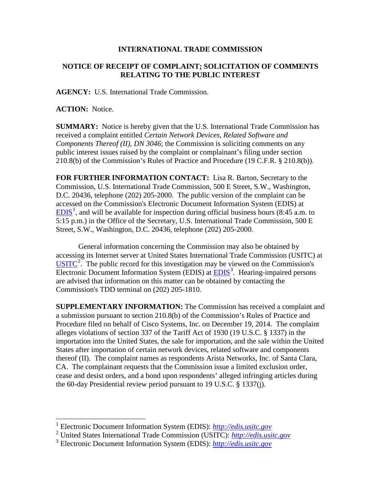## **INTERNATIONAL TRADE COMMISSION**

## **NOTICE OF RECEIPT OF COMPLAINT; SOLICITATION OF COMMENTS RELATING TO THE PUBLIC INTEREST**

**AGENCY:** U.S. International Trade Commission.

**ACTION:** Notice.

 $\overline{a}$ 

**SUMMARY:** Notice is hereby given that the U.S. International Trade Commission has received a complaint entitled *Certain Network Devices, Related Software and Components Thereof (II), DN 3046*; the Commission is soliciting comments on any public interest issues raised by the complaint or complainant's filing under section 210.8(b) of the Commission's Rules of Practice and Procedure (19 C.F.R. § 210.8(b)).

**FOR FURTHER INFORMATION CONTACT:** Lisa R. Barton, Secretary to the Commission, U.S. International Trade Commission, 500 E Street, S.W., Washington, D.C. 20436, telephone (202) 205-2000. The public version of the complaint can be accessed on the Commission's Electronic Document Information System (EDIS) at  $EDIS<sup>1</sup>$  $EDIS<sup>1</sup>$  $EDIS<sup>1</sup>$  $EDIS<sup>1</sup>$ , and will be available for inspection during official business hours (8:45 a.m. to 5:15 p.m.) in the Office of the Secretary, U.S. International Trade Commission, 500 E Street, S.W., Washington, D.C. 20436, telephone (202) 205-2000.

General information concerning the Commission may also be obtained by accessing its Internet server at United States International Trade Commission (USITC) at  $\overline{USTTC}^2$  $\overline{USTTC}^2$ . The public record for this investigation may be viewed on the Commission's Electronic Document Information System (EDIS) at **EDIS**<sup>[3](#page-0-2)</sup>. Hearing-impaired persons are advised that information on this matter can be obtained by contacting the Commission's TDD terminal on (202) 205-1810.

**SUPPLEMENTARY INFORMATION:** The Commission has received a complaint and a submission pursuant to section 210.8(b) of the Commission's Rules of Practice and Procedure filed on behalf of Cisco Systems, Inc. on December 19, 2014. The complaint alleges violations of section 337 of the Tariff Act of 1930 (19 U.S.C. § 1337) in the importation into the United States, the sale for importation, and the sale within the United States after importation of certain network devices, related software and components thereof (II). The complaint names as respondents Arista Networks, Inc. of Santa Clara, CA. The complainant requests that the Commission issue a limited exclusion order, cease and desist orders, and a bond upon respondents' alleged infringing articles during the 60-day Presidential review period pursuant to 19 U.S.C. § 1337(j).

<sup>1</sup> Electronic Document Information System (EDIS): *[http://edis.usitc.gov](http://edis.usitc.gov/)*

<span id="page-0-1"></span><span id="page-0-0"></span><sup>2</sup> United States International Trade Commission (USITC): *[http://edis.usitc.gov](http://edis.usitc.gov/)*

<span id="page-0-2"></span><sup>3</sup> Electronic Document Information System (EDIS): *[http://edis.usitc.gov](http://edis.usitc.gov/)*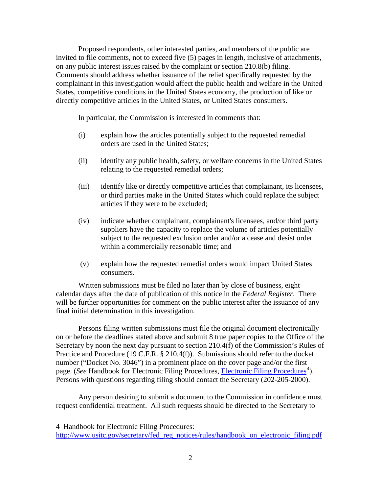Proposed respondents, other interested parties, and members of the public are invited to file comments, not to exceed five (5) pages in length, inclusive of attachments, on any public interest issues raised by the complaint or section 210.8(b) filing. Comments should address whether issuance of the relief specifically requested by the complainant in this investigation would affect the public health and welfare in the United States, competitive conditions in the United States economy, the production of like or directly competitive articles in the United States, or United States consumers.

In particular, the Commission is interested in comments that:

- (i) explain how the articles potentially subject to the requested remedial orders are used in the United States;
- (ii) identify any public health, safety, or welfare concerns in the United States relating to the requested remedial orders;
- (iii) identify like or directly competitive articles that complainant, its licensees, or third parties make in the United States which could replace the subject articles if they were to be excluded;
- (iv) indicate whether complainant, complainant's licensees, and/or third party suppliers have the capacity to replace the volume of articles potentially subject to the requested exclusion order and/or a cease and desist order within a commercially reasonable time; and
- (v) explain how the requested remedial orders would impact United States consumers.

Written submissions must be filed no later than by close of business, eight calendar days after the date of publication of this notice in the *Federal Register*. There will be further opportunities for comment on the public interest after the issuance of any final initial determination in this investigation.

Persons filing written submissions must file the original document electronically on or before the deadlines stated above and submit 8 true paper copies to the Office of the Secretary by noon the next day pursuant to section 210.4(f) of the Commission's Rules of Practice and Procedure (19 C.F.R. § 210.4(f)). Submissions should refer to the docket number ("Docket No. 3046") in a prominent place on the cover page and/or the first page. (*See* Handbook for [Electronic Filing Procedures](http://www.usitc.gov/secretary/fed_reg_notices/rules/handbook_on_electronic_filing.pdf), *Electronic Filing Procedures*<sup>[4](#page-1-0)</sup>). Persons with questions regarding filing should contact the Secretary (202-205-2000).

Any person desiring to submit a document to the Commission in confidence must request confidential treatment. All such requests should be directed to the Secretary to

 $\overline{a}$ 

<span id="page-1-0"></span><sup>4</sup> Handbook for Electronic Filing Procedures:

http://www.usitc.gov/secretary/fed\_reg\_notices/rules/handbook\_on\_electronic\_filing.pdf